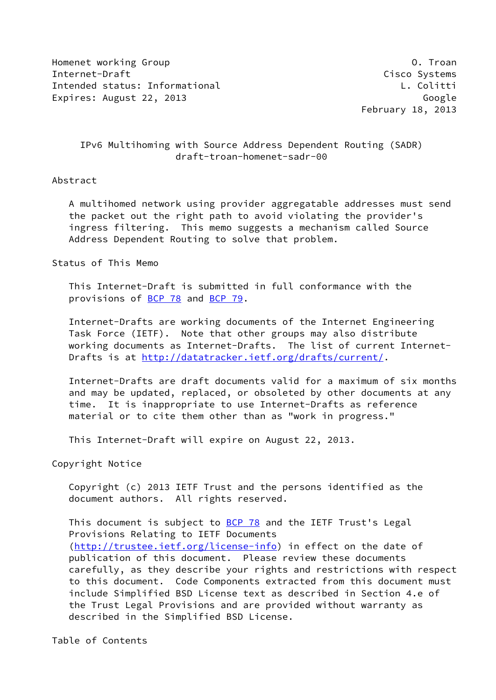Homenet working Group **O. The Community Community** C. Troan Internet-Draft Cisco Systems Intended status: Informational L. Colitti Expires: August 22, 2013 Coogle Expires: August 22, 2013

February 18, 2013

# IPv6 Multihoming with Source Address Dependent Routing (SADR) draft-troan-homenet-sadr-00

### Abstract

 A multihomed network using provider aggregatable addresses must send the packet out the right path to avoid violating the provider's ingress filtering. This memo suggests a mechanism called Source Address Dependent Routing to solve that problem.

Status of This Memo

 This Internet-Draft is submitted in full conformance with the provisions of [BCP 78](https://datatracker.ietf.org/doc/pdf/bcp78) and [BCP 79](https://datatracker.ietf.org/doc/pdf/bcp79).

 Internet-Drafts are working documents of the Internet Engineering Task Force (IETF). Note that other groups may also distribute working documents as Internet-Drafts. The list of current Internet- Drafts is at<http://datatracker.ietf.org/drafts/current/>.

 Internet-Drafts are draft documents valid for a maximum of six months and may be updated, replaced, or obsoleted by other documents at any time. It is inappropriate to use Internet-Drafts as reference material or to cite them other than as "work in progress."

This Internet-Draft will expire on August 22, 2013.

Copyright Notice

 Copyright (c) 2013 IETF Trust and the persons identified as the document authors. All rights reserved.

This document is subject to **[BCP 78](https://datatracker.ietf.org/doc/pdf/bcp78)** and the IETF Trust's Legal Provisions Relating to IETF Documents [\(http://trustee.ietf.org/license-info](http://trustee.ietf.org/license-info)) in effect on the date of publication of this document. Please review these documents carefully, as they describe your rights and restrictions with respect to this document. Code Components extracted from this document must include Simplified BSD License text as described in Section 4.e of the Trust Legal Provisions and are provided without warranty as described in the Simplified BSD License.

Table of Contents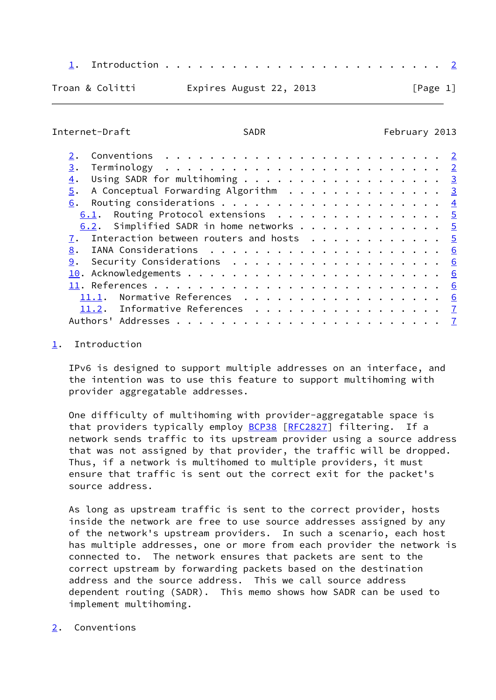- [1](#page-1-0). Introduction . . . . . . . . . . . . . . . . . . . . . . . . . [2](#page-1-1)
- Troan & Colitti **Expires August 22, 2013** [Page 1]

<span id="page-1-1"></span>Internet-Draft SADR SADR February 2013

| 3.                                                  |  |  |  |  |  |  |  |
|-----------------------------------------------------|--|--|--|--|--|--|--|
| Using SADR for multihoming 3<br>4.                  |  |  |  |  |  |  |  |
| A Conceptual Forwarding Algorithm 3<br>5.           |  |  |  |  |  |  |  |
|                                                     |  |  |  |  |  |  |  |
| 6.1. Routing Protocol extensions 5                  |  |  |  |  |  |  |  |
| 6.2. Simplified SADR in home networks 5             |  |  |  |  |  |  |  |
| 7. Interaction between routers and hosts $\cdots$ 5 |  |  |  |  |  |  |  |
| 8.                                                  |  |  |  |  |  |  |  |
| 9.                                                  |  |  |  |  |  |  |  |
|                                                     |  |  |  |  |  |  |  |
|                                                     |  |  |  |  |  |  |  |
| Normative References 6<br>11.1.                     |  |  |  |  |  |  |  |
| 11.2. Informative References 7                      |  |  |  |  |  |  |  |
| Authors'                                            |  |  |  |  |  |  |  |

<span id="page-1-0"></span>[1](#page-1-0). Introduction

 IPv6 is designed to support multiple addresses on an interface, and the intention was to use this feature to support multihoming with provider aggregatable addresses.

 One difficulty of multihoming with provider-aggregatable space is that providers typically employ [BCP38](https://datatracker.ietf.org/doc/pdf/bcp38) [[RFC2827](https://datatracker.ietf.org/doc/pdf/rfc2827)] filtering. If a network sends traffic to its upstream provider using a source address that was not assigned by that provider, the traffic will be dropped. Thus, if a network is multihomed to multiple providers, it must ensure that traffic is sent out the correct exit for the packet's source address.

 As long as upstream traffic is sent to the correct provider, hosts inside the network are free to use source addresses assigned by any of the network's upstream providers. In such a scenario, each host has multiple addresses, one or more from each provider the network is connected to. The network ensures that packets are sent to the correct upstream by forwarding packets based on the destination address and the source address. This we call source address dependent routing (SADR). This memo shows how SADR can be used to implement multihoming.

<span id="page-1-2"></span>[2](#page-1-2). Conventions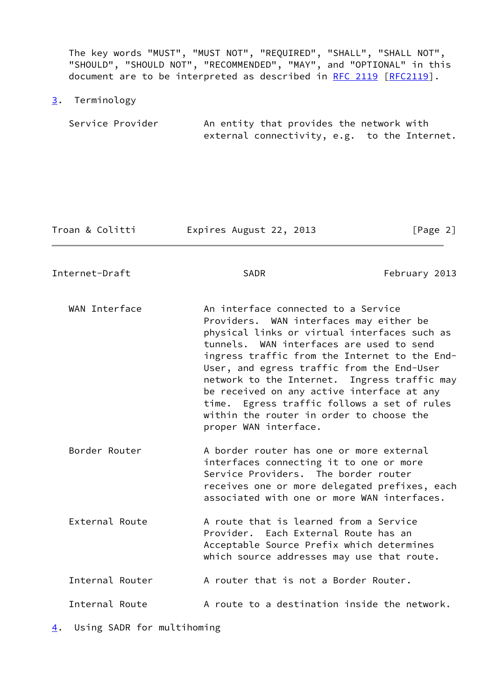The key words "MUST", "MUST NOT", "REQUIRED", "SHALL", "SHALL NOT", "SHOULD", "SHOULD NOT", "RECOMMENDED", "MAY", and "OPTIONAL" in this document are to be interpreted as described in [RFC 2119 \[RFC2119](https://datatracker.ietf.org/doc/pdf/rfc2119)].

<span id="page-2-0"></span>[3](#page-2-0). Terminology

Service Provider 6. An entity that provides the network with external connectivity, e.g. to the Internet.

Troan & Colitti **Expires August 22, 2013** [Page 2]

<span id="page-2-2"></span>Internet-Draft SADR SADR February 2013

WAN Interface **An interface connected to a Service**  Providers. WAN interfaces may either be physical links or virtual interfaces such as tunnels. WAN interfaces are used to send ingress traffic from the Internet to the End- User, and egress traffic from the End-User network to the Internet. Ingress traffic may be received on any active interface at any time. Egress traffic follows a set of rules within the router in order to choose the proper WAN interface.

Border Router **A border router has one or more external**  interfaces connecting it to one or more Service Providers. The border router receives one or more delegated prefixes, each associated with one or more WAN interfaces.

External Route **A** route that is learned from a Service Provider. Each External Route has an Acceptable Source Prefix which determines which source addresses may use that route. Internal Router  $\overline{A}$  router that is not a Border Router.

Internal Route  $\overline{A}$  route to a destination inside the network.

<span id="page-2-1"></span>[4](#page-2-1). Using SADR for multihoming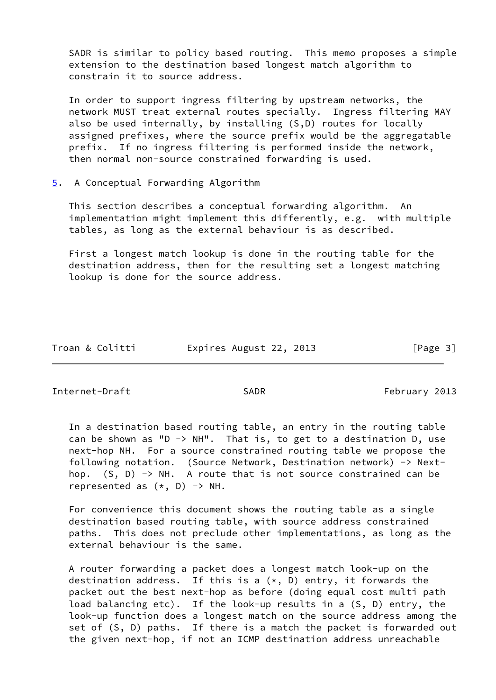SADR is similar to policy based routing. This memo proposes a simple extension to the destination based longest match algorithm to constrain it to source address.

 In order to support ingress filtering by upstream networks, the network MUST treat external routes specially. Ingress filtering MAY also be used internally, by installing (S,D) routes for locally assigned prefixes, where the source prefix would be the aggregatable prefix. If no ingress filtering is performed inside the network, then normal non-source constrained forwarding is used.

<span id="page-3-0"></span>[5](#page-3-0). A Conceptual Forwarding Algorithm

 This section describes a conceptual forwarding algorithm. An implementation might implement this differently, e.g. with multiple tables, as long as the external behaviour is as described.

 First a longest match lookup is done in the routing table for the destination address, then for the resulting set a longest matching lookup is done for the source address.

| Troan & Colitti | Expires August 22, 2013 | [Page 3] |
|-----------------|-------------------------|----------|
|                 |                         |          |

<span id="page-3-1"></span>Internet-Draft SADR February 2013

 In a destination based routing table, an entry in the routing table can be shown as "D -> NH". That is, to get to a destination D, use next-hop NH. For a source constrained routing table we propose the following notation. (Source Network, Destination network) -> Next hop.  $(S, D) \rightarrow NH$ . A route that is not source constrained can be represented as  $(*, D) \rightarrow NH.$ 

 For convenience this document shows the routing table as a single destination based routing table, with source address constrained paths. This does not preclude other implementations, as long as the external behaviour is the same.

 A router forwarding a packet does a longest match look-up on the destination address. If this is a  $(*, D)$  entry, it forwards the packet out the best next-hop as before (doing equal cost multi path load balancing etc). If the look-up results in a (S, D) entry, the look-up function does a longest match on the source address among the set of (S, D) paths. If there is a match the packet is forwarded out the given next-hop, if not an ICMP destination address unreachable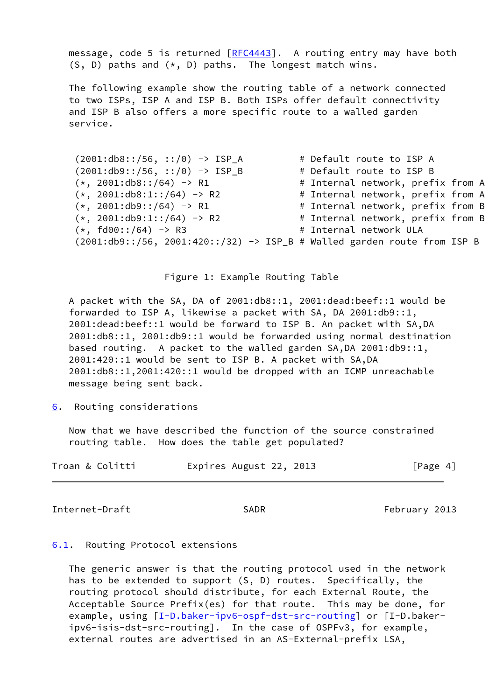message, code 5 is returned  $[REC4443]$ . A routing entry may have both  $(S, D)$  paths and  $(*, D)$  paths. The longest match wins.

 The following example show the routing table of a network connected to two ISPs, ISP A and ISP B. Both ISPs offer default connectivity and ISP B also offers a more specific route to a walled garden service.

| $(2001: db8::/56, ::/0) \rightarrow ISP_A$                                  | # Default route to ISP A          |  |
|-----------------------------------------------------------------------------|-----------------------------------|--|
| $(2001: db9::/56, ::/0) \rightarrow ISP_B$                                  | # Default route to ISP B          |  |
| $(*, 2001:db8::/64) \rightarrow R1$                                         | # Internal network, prefix from A |  |
| $(*, 2001:db8:1::/64) \rightarrow R2$                                       | # Internal network, prefix from A |  |
| $(*, 2001:db9::/64) \rightarrow R1$                                         | # Internal network, prefix from B |  |
| $(*, 2001:db9:1::/64) \rightarrow R2$                                       | # Internal network, prefix from B |  |
| $(*, fd00::/64) \rightarrow R3$                                             | # Internal network ULA            |  |
| $(2001: db9::/56, 2001:420::/32)$ -> ISP_B # Walled garden route from ISP B |                                   |  |

Figure 1: Example Routing Table

 A packet with the SA, DA of 2001:db8::1, 2001:dead:beef::1 would be forwarded to ISP A, likewise a packet with SA, DA 2001:db9::1, 2001:dead:beef::1 would be forward to ISP B. An packet with SA,DA 2001:db8::1, 2001:db9::1 would be forwarded using normal destination based routing. A packet to the walled garden SA,DA 2001:db9::1, 2001:420::1 would be sent to ISP B. A packet with SA,DA 2001:db8::1,2001:420::1 would be dropped with an ICMP unreachable message being sent back.

<span id="page-4-0"></span>[6](#page-4-0). Routing considerations

 Now that we have described the function of the source constrained routing table. How does the table get populated?

| Troan & Colitti | Expires August 22, 2013 |  | [Page 4] |
|-----------------|-------------------------|--|----------|
|-----------------|-------------------------|--|----------|

<span id="page-4-2"></span>Internet-Draft SADR SADR February 2013

#### <span id="page-4-1"></span>[6.1](#page-4-1). Routing Protocol extensions

 The generic answer is that the routing protocol used in the network has to be extended to support (S, D) routes. Specifically, the routing protocol should distribute, for each External Route, the Acceptable Source Prefix(es) for that route. This may be done, for example, using [\[I-D.baker-ipv6-ospf-dst-src-routing](#page-7-2)] or [I-D.baker ipv6-isis-dst-src-routing]. In the case of OSPFv3, for example, external routes are advertised in an AS-External-prefix LSA,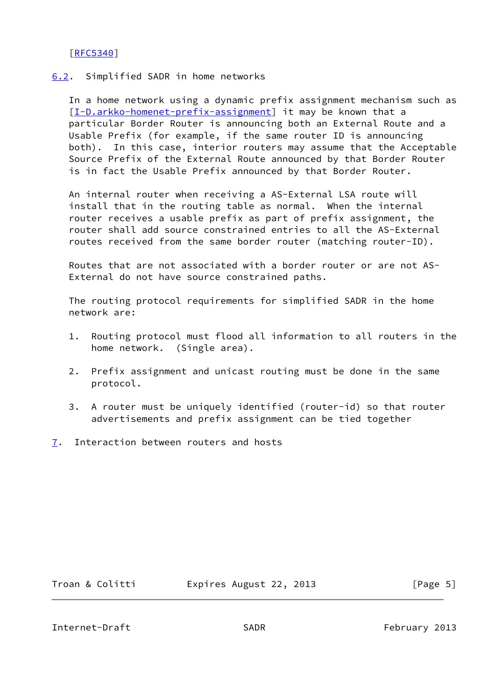# [\[RFC5340](https://datatracker.ietf.org/doc/pdf/rfc5340)]

### <span id="page-5-0"></span>[6.2](#page-5-0). Simplified SADR in home networks

 In a home network using a dynamic prefix assignment mechanism such as [\[I-D.arkko-homenet-prefix-assignment](#page-6-5)] it may be known that a particular Border Router is announcing both an External Route and a Usable Prefix (for example, if the same router ID is announcing both). In this case, interior routers may assume that the Acceptable Source Prefix of the External Route announced by that Border Router is in fact the Usable Prefix announced by that Border Router.

 An internal router when receiving a AS-External LSA route will install that in the routing table as normal. When the internal router receives a usable prefix as part of prefix assignment, the router shall add source constrained entries to all the AS-External routes received from the same border router (matching router-ID).

 Routes that are not associated with a border router or are not AS- External do not have source constrained paths.

 The routing protocol requirements for simplified SADR in the home network are:

- 1. Routing protocol must flood all information to all routers in the home network. (Single area).
- 2. Prefix assignment and unicast routing must be done in the same protocol.
- 3. A router must be uniquely identified (router-id) so that router advertisements and prefix assignment can be tied together
- <span id="page-5-1"></span>[7](#page-5-1). Interaction between routers and hosts

Troan & Colitti **Expires August 22, 2013** [Page 5]

<span id="page-5-2"></span>Internet-Draft SADR February 2013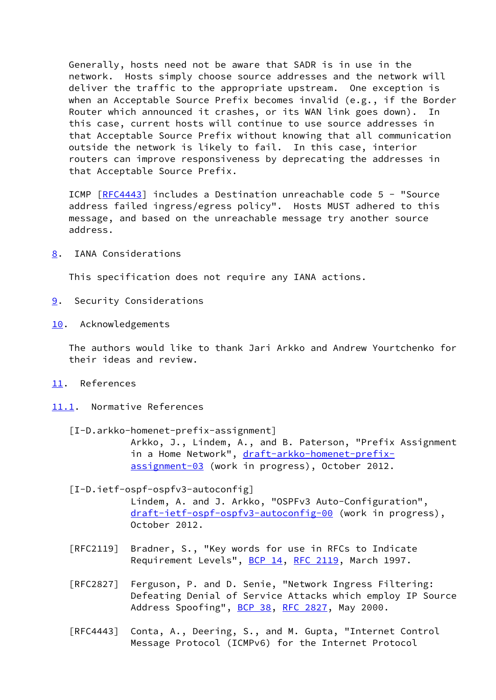Generally, hosts need not be aware that SADR is in use in the network. Hosts simply choose source addresses and the network will deliver the traffic to the appropriate upstream. One exception is when an Acceptable Source Prefix becomes invalid (e.g., if the Border Router which announced it crashes, or its WAN link goes down). In this case, current hosts will continue to use source addresses in that Acceptable Source Prefix without knowing that all communication outside the network is likely to fail. In this case, interior routers can improve responsiveness by deprecating the addresses in that Acceptable Source Prefix.

 ICMP [\[RFC4443](https://datatracker.ietf.org/doc/pdf/rfc4443)] includes a Destination unreachable code 5 - "Source address failed ingress/egress policy". Hosts MUST adhered to this message, and based on the unreachable message try another source address.

<span id="page-6-0"></span>[8](#page-6-0). IANA Considerations

This specification does not require any IANA actions.

- <span id="page-6-1"></span>[9](#page-6-1). Security Considerations
- <span id="page-6-2"></span>[10.](#page-6-2) Acknowledgements

 The authors would like to thank Jari Arkko and Andrew Yourtchenko for their ideas and review.

- <span id="page-6-3"></span>[11.](#page-6-3) References
- <span id="page-6-5"></span><span id="page-6-4"></span>[11.1](#page-6-4). Normative References
	- [I-D.arkko-homenet-prefix-assignment] Arkko, J., Lindem, A., and B. Paterson, "Prefix Assignment in a Home Network", [draft-arkko-homenet-prefix](https://datatracker.ietf.org/doc/pdf/draft-arkko-homenet-prefix-assignment-03) [assignment-03](https://datatracker.ietf.org/doc/pdf/draft-arkko-homenet-prefix-assignment-03) (work in progress), October 2012.

 [I-D.ietf-ospf-ospfv3-autoconfig] Lindem, A. and J. Arkko, "OSPFv3 Auto-Configuration", [draft-ietf-ospf-ospfv3-autoconfig-00](https://datatracker.ietf.org/doc/pdf/draft-ietf-ospf-ospfv3-autoconfig-00) (work in progress), October 2012.

- [RFC2119] Bradner, S., "Key words for use in RFCs to Indicate Requirement Levels", [BCP 14](https://datatracker.ietf.org/doc/pdf/bcp14), [RFC 2119](https://datatracker.ietf.org/doc/pdf/rfc2119), March 1997.
- [RFC2827] Ferguson, P. and D. Senie, "Network Ingress Filtering: Defeating Denial of Service Attacks which employ IP Source Address Spoofing", [BCP 38](https://datatracker.ietf.org/doc/pdf/bcp38), [RFC 2827](https://datatracker.ietf.org/doc/pdf/rfc2827), May 2000.
- [RFC4443] Conta, A., Deering, S., and M. Gupta, "Internet Control Message Protocol (ICMPv6) for the Internet Protocol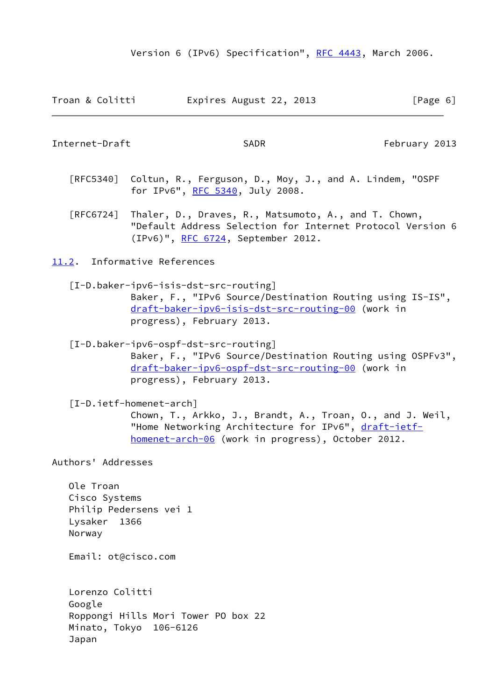| Expires August 22, 2013<br>Troan & Colitti | [Page 6] |
|--------------------------------------------|----------|
|--------------------------------------------|----------|

<span id="page-7-1"></span>Internet-Draft SADR SADR February 2013

- [RFC5340] Coltun, R., Ferguson, D., Moy, J., and A. Lindem, "OSPF for IPv6", [RFC 5340](https://datatracker.ietf.org/doc/pdf/rfc5340), July 2008.
- [RFC6724] Thaler, D., Draves, R., Matsumoto, A., and T. Chown, "Default Address Selection for Internet Protocol Version 6 (IPv6)", [RFC 6724,](https://datatracker.ietf.org/doc/pdf/rfc6724) September 2012.

<span id="page-7-0"></span>[11.2](#page-7-0). Informative References

 [I-D.baker-ipv6-isis-dst-src-routing] Baker, F., "IPv6 Source/Destination Routing using IS-IS", [draft-baker-ipv6-isis-dst-src-routing-00](https://datatracker.ietf.org/doc/pdf/draft-baker-ipv6-isis-dst-src-routing-00) (work in progress), February 2013.

<span id="page-7-2"></span> [I-D.baker-ipv6-ospf-dst-src-routing] Baker, F., "IPv6 Source/Destination Routing using OSPFv3", [draft-baker-ipv6-ospf-dst-src-routing-00](https://datatracker.ietf.org/doc/pdf/draft-baker-ipv6-ospf-dst-src-routing-00) (work in progress), February 2013.

 [I-D.ietf-homenet-arch] Chown, T., Arkko, J., Brandt, A., Troan, O., and J. Weil, "Home Networking Architecture for IPv6", [draft-ietf](https://datatracker.ietf.org/doc/pdf/draft-ietf-homenet-arch-06) [homenet-arch-06](https://datatracker.ietf.org/doc/pdf/draft-ietf-homenet-arch-06) (work in progress), October 2012.

Authors' Addresses

 Ole Troan Cisco Systems Philip Pedersens vei 1 Lysaker 1366 Norway

Email: ot@cisco.com

 Lorenzo Colitti Google Roppongi Hills Mori Tower PO box 22 Minato, Tokyo 106-6126 Japan